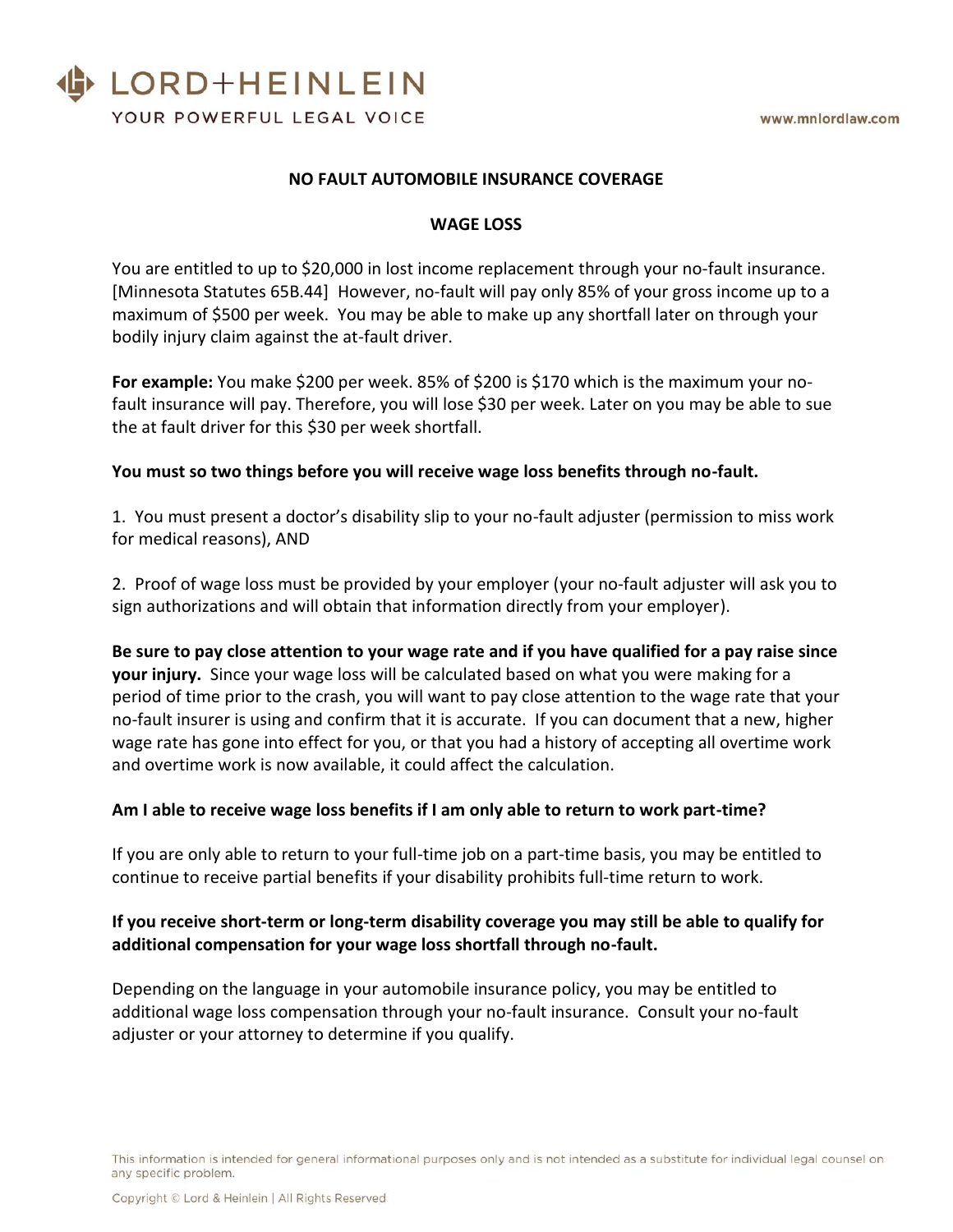

### **NO FAULT AUTOMOBILE INSURANCE COVERAGE**

#### **WAGE LOSS**

You are entitled to up to \$20,000 in lost income replacement through your no-fault insurance. [Minnesota Statutes 65B.44] However, no-fault will pay only 85% of your gross income up to a maximum of \$500 per week. You may be able to make up any shortfall later on through your bodily injury claim against the at-fault driver.

**For example:** You make \$200 per week. 85% of \$200 is \$170 which is the maximum your nofault insurance will pay. Therefore, you will lose \$30 per week. Later on you may be able to sue the at fault driver for this \$30 per week shortfall.

### **You must so two things before you will receive wage loss benefits through no-fault.**

1. You must present a doctor's disability slip to your no-fault adjuster (permission to miss work for medical reasons), AND

2. Proof of wage loss must be provided by your employer (your no-fault adjuster will ask you to sign authorizations and will obtain that information directly from your employer).

**Be sure to pay close attention to your wage rate and if you have qualified for a pay raise since your injury.** Since your wage loss will be calculated based on what you were making for a period of time prior to the crash, you will want to pay close attention to the wage rate that your no-fault insurer is using and confirm that it is accurate. If you can document that a new, higher wage rate has gone into effect for you, or that you had a history of accepting all overtime work and overtime work is now available, it could affect the calculation.

### **Am I able to receive wage loss benefits if I am only able to return to work part-time?**

If you are only able to return to your full-time job on a part-time basis, you may be entitled to continue to receive partial benefits if your disability prohibits full-time return to work.

### **If you receive short-term or long-term disability coverage you may still be able to qualify for additional compensation for your wage loss shortfall through no-fault.**

Depending on the language in your automobile insurance policy, you may be entitled to additional wage loss compensation through your no-fault insurance. Consult your no-fault adjuster or your attorney to determine if you qualify.